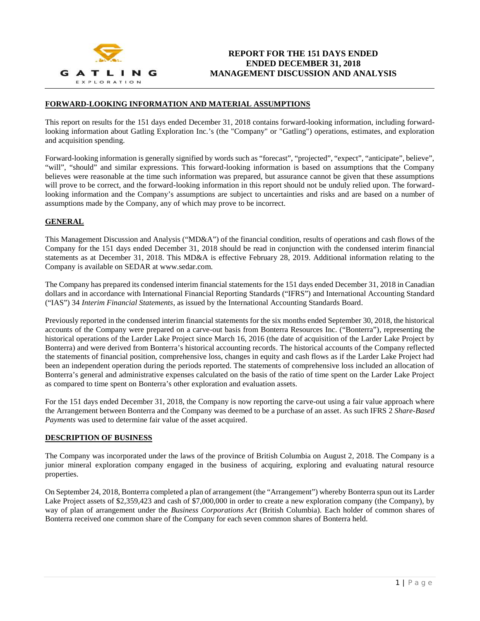

## **FORWARD-LOOKING INFORMATION AND MATERIAL ASSUMPTIONS**

This report on results for the 151 days ended December 31, 2018 contains forward-looking information, including forwardlooking information about Gatling Exploration Inc.'s (the "Company" or "Gatling") operations, estimates, and exploration and acquisition spending.

Forward-looking information is generally signified by words such as "forecast", "projected", "expect", "anticipate", believe", "will", "should" and similar expressions. This forward-looking information is based on assumptions that the Company believes were reasonable at the time such information was prepared, but assurance cannot be given that these assumptions will prove to be correct, and the forward-looking information in this report should not be unduly relied upon. The forwardlooking information and the Company's assumptions are subject to uncertainties and risks and are based on a number of assumptions made by the Company, any of which may prove to be incorrect.

# **GENERAL**

This Management Discussion and Analysis ("MD&A") of the financial condition, results of operations and cash flows of the Company for the 151 days ended December 31, 2018 should be read in conjunction with the condensed interim financial statements as at December 31, 2018. This MD&A is effective February 28, 2019. Additional information relating to the Company is available on SEDAR at www.sedar.com.

The Company has prepared its condensed interim financial statements for the 151 days ended December 31, 2018 in Canadian dollars and in accordance with International Financial Reporting Standards ("IFRS") and International Accounting Standard ("IAS") 34 *Interim Financial Statements*, as issued by the International Accounting Standards Board.

Previously reported in the condensed interim financial statements for the six months ended September 30, 2018, the historical accounts of the Company were prepared on a carve-out basis from Bonterra Resources Inc. ("Bonterra"), representing the historical operations of the Larder Lake Project since March 16, 2016 (the date of acquisition of the Larder Lake Project by Bonterra) and were derived from Bonterra's historical accounting records. The historical accounts of the Company reflected the statements of financial position, comprehensive loss, changes in equity and cash flows as if the Larder Lake Project had been an independent operation during the periods reported. The statements of comprehensive loss included an allocation of Bonterra's general and administrative expenses calculated on the basis of the ratio of time spent on the Larder Lake Project as compared to time spent on Bonterra's other exploration and evaluation assets.

For the 151 days ended December 31, 2018, the Company is now reporting the carve-out using a fair value approach where the Arrangement between Bonterra and the Company was deemed to be a purchase of an asset. As such IFRS 2 *Share-Based Payments* was used to determine fair value of the asset acquired.

### **DESCRIPTION OF BUSINESS**

The Company was incorporated under the laws of the province of British Columbia on August 2, 2018. The Company is a junior mineral exploration company engaged in the business of acquiring, exploring and evaluating natural resource properties.

On September 24, 2018, Bonterra completed a plan of arrangement (the "Arrangement") whereby Bonterra spun out its Larder Lake Project assets of \$2,359,423 and cash of \$7,000,000 in order to create a new exploration company (the Company), by way of plan of arrangement under the *Business Corporations Act* (British Columbia). Each holder of common shares of Bonterra received one common share of the Company for each seven common shares of Bonterra held.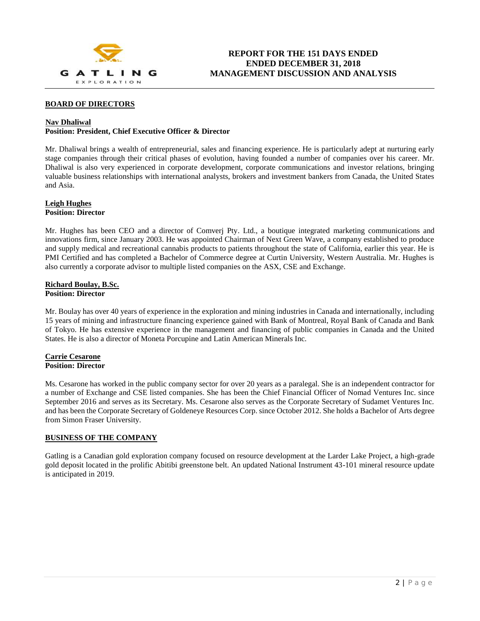

#### **BOARD OF DIRECTORS**

# **Nav Dhaliwal Position: President, Chief Executive Officer & Director**

Mr. Dhaliwal brings a wealth of entrepreneurial, sales and financing experience. He is particularly adept at nurturing early stage companies through their critical phases of evolution, having founded a number of companies over his career. Mr. Dhaliwal is also very experienced in corporate development, corporate communications and investor relations, bringing valuable business relationships with international analysts, brokers and investment bankers from Canada, the United States and Asia.

#### **Leigh Hughes Position: Director**

Mr. Hughes has been CEO and a director of Comverj Pty. Ltd., a boutique integrated marketing communications and innovations firm, since January 2003. He was appointed Chairman of Next Green Wave, a company established to produce and supply medical and recreational cannabis products to patients throughout the state of California, earlier this year. He is PMI Certified and has completed a Bachelor of Commerce degree at Curtin University, Western Australia. Mr. Hughes is also currently a corporate advisor to multiple listed companies on the ASX, CSE and Exchange.

#### **Richard Boulay, B.Sc. Position: Director**

Mr. Boulay has over 40 years of experience in the exploration and mining industries in Canada and internationally, including 15 years of mining and infrastructure financing experience gained with Bank of Montreal, Royal Bank of Canada and Bank of Tokyo. He has extensive experience in the management and financing of public companies in Canada and the United States. He is also a director of Moneta Porcupine and Latin American Minerals Inc.

## **Carrie Cesarone Position: Director**

Ms. Cesarone has worked in the public company sector for over 20 years as a paralegal. She is an independent contractor for a number of Exchange and CSE listed companies. She has been the Chief Financial Officer of Nomad Ventures Inc. since September 2016 and serves as its Secretary. Ms. Cesarone also serves as the Corporate Secretary of Sudamet Ventures Inc. and has been the Corporate Secretary of Goldeneye Resources Corp. since October 2012. She holds a Bachelor of Arts degree from Simon Fraser University.

# **BUSINESS OF THE COMPANY**

Gatling is a Canadian gold exploration company focused on resource development at the Larder Lake Project, a high-grade gold deposit located in the prolific Abitibi greenstone belt. An updated National Instrument 43-101 mineral resource update is anticipated in 2019.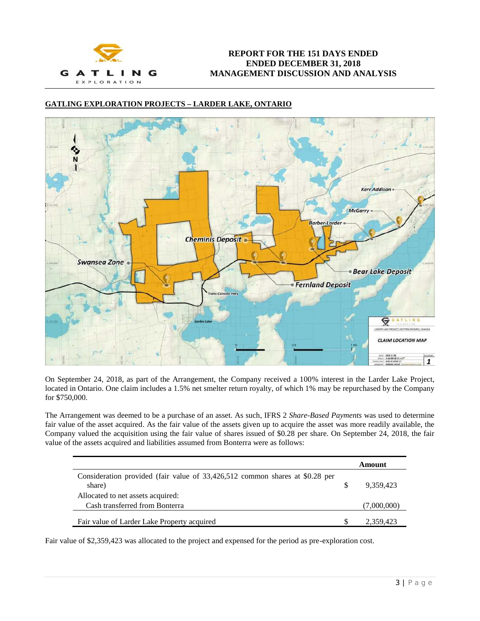

# **GATLING EXPLORATION PROJECTS – LARDER LAKE, ONTARIO**



On September 24, 2018, as part of the Arrangement, the Company received a 100% interest in the Larder Lake Project, located in Ontario. One claim includes a 1.5% net smelter return royalty, of which 1% may be repurchased by the Company for \$750,000.

The Arrangement was deemed to be a purchase of an asset. As such, IFRS 2 *Share-Based Payments* was used to determine fair value of the asset acquired. As the fair value of the assets given up to acquire the asset was more readily available, the Company valued the acquisition using the fair value of shares issued of \$0.28 per share. On September 24, 2018, the fair value of the assets acquired and liabilities assumed from Bonterra were as follows:

|                                                                                        | Amount      |
|----------------------------------------------------------------------------------------|-------------|
| Consideration provided (fair value of 33,426,512 common shares at \$0.28 per<br>share) | 9.359.423   |
| Allocated to net assets acquired:                                                      |             |
| Cash transferred from Bonterra                                                         | (7,000,000) |
| Fair value of Larder Lake Property acquired                                            | 2.359.423   |

Fair value of \$2,359,423 was allocated to the project and expensed for the period as pre-exploration cost.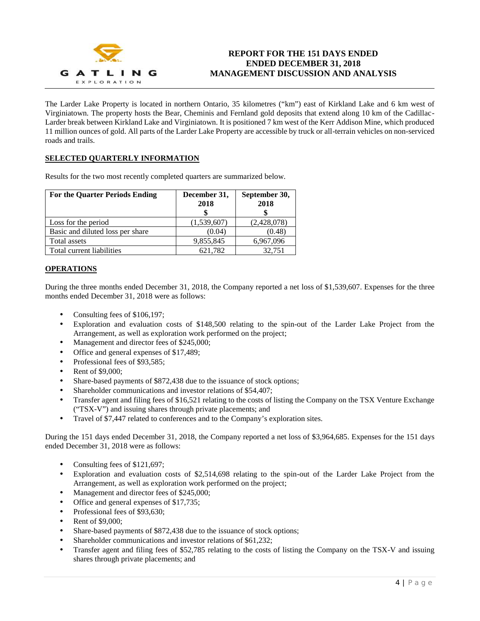

# **REPORT FOR THE 151 DAYS ENDED ENDED DECEMBER 31, 2018 MANAGEMENT DISCUSSION AND ANALYSIS**

The Larder Lake Property is located in northern Ontario, 35 kilometres ("km") east of Kirkland Lake and 6 km west of Virginiatown. The property hosts the Bear, Cheminis and Fernland gold deposits that extend along 10 km of the Cadillac-Larder break between Kirkland Lake and Virginiatown. It is positioned 7 km west of the Kerr Addison Mine, which produced 11 million ounces of gold. All parts of the Larder Lake Property are accessible by truck or all-terrain vehicles on non-serviced roads and trails.

# **SELECTED QUARTERLY INFORMATION**

Results for the two most recently completed quarters are summarized below.

| <b>For the Quarter Periods Ending</b> | December 31,<br>2018 | September 30,<br>2018 |
|---------------------------------------|----------------------|-----------------------|
| Loss for the period                   | (1,539,607)          | (2,428,078)           |
| Basic and diluted loss per share      | (0.04)               | (0.48)                |
| Total assets                          | 9,855,845            | 6,967,096             |
| Total current liabilities             | 621,782              | 32,751                |

# **OPERATIONS**

During the three months ended December 31, 2018, the Company reported a net loss of \$1,539,607. Expenses for the three months ended December 31, 2018 were as follows:

- Consulting fees of \$106,197;
- Exploration and evaluation costs of \$148,500 relating to the spin-out of the Larder Lake Project from the Arrangement, as well as exploration work performed on the project;
- Management and director fees of \$245,000;
- Office and general expenses of \$17,489;
- Professional fees of \$93,585;
- Rent of \$9,000;
- Share-based payments of \$872,438 due to the issuance of stock options;
- Shareholder communications and investor relations of \$54,407;
- Transfer agent and filing fees of \$16,521 relating to the costs of listing the Company on the TSX Venture Exchange ("TSX-V") and issuing shares through private placements; and
- Travel of \$7,447 related to conferences and to the Company's exploration sites.

During the 151 days ended December 31, 2018, the Company reported a net loss of \$3,964,685. Expenses for the 151 days ended December 31, 2018 were as follows:

- Consulting fees of \$121,697;
- Exploration and evaluation costs of \$2,514,698 relating to the spin-out of the Larder Lake Project from the Arrangement, as well as exploration work performed on the project;
- Management and director fees of \$245,000;
- Office and general expenses of \$17,735;
- Professional fees of \$93,630;
- Rent of \$9,000;
- Share-based payments of \$872,438 due to the issuance of stock options;
- Shareholder communications and investor relations of \$61,232;
- Transfer agent and filing fees of \$52,785 relating to the costs of listing the Company on the TSX-V and issuing shares through private placements; and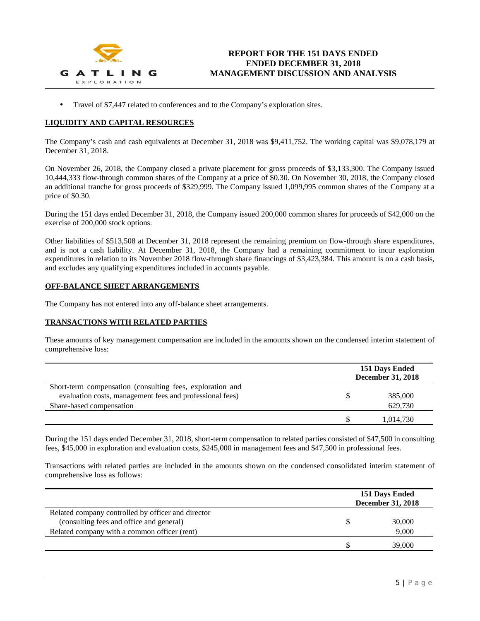

• Travel of \$7,447 related to conferences and to the Company's exploration sites.

# **LIQUIDITY AND CAPITAL RESOURCES**

The Company's cash and cash equivalents at December 31, 2018 was \$9,411,752. The working capital was \$9,078,179 at December 31, 2018.

On November 26, 2018, the Company closed a private placement for gross proceeds of \$3,133,300. The Company issued 10,444,333 flow-through common shares of the Company at a price of \$0.30. On November 30, 2018, the Company closed an additional tranche for gross proceeds of \$329,999. The Company issued 1,099,995 common shares of the Company at a price of \$0.30.

During the 151 days ended December 31, 2018, the Company issued 200,000 common shares for proceeds of \$42,000 on the exercise of 200,000 stock options.

Other liabilities of \$513,508 at December 31, 2018 represent the remaining premium on flow-through share expenditures, and is not a cash liability. At December 31, 2018, the Company had a remaining commitment to incur exploration expenditures in relation to its November 2018 flow-through share financings of \$3,423,384. This amount is on a cash basis, and excludes any qualifying expenditures included in accounts payable.

## **OFF-BALANCE SHEET ARRANGEMENTS**

The Company has not entered into any off-balance sheet arrangements.

### **TRANSACTIONS WITH RELATED PARTIES**

These amounts of key management compensation are included in the amounts shown on the condensed interim statement of comprehensive loss:

|                                                                                                                       | 151 Days Ended<br><b>December 31, 2018</b> |           |  |
|-----------------------------------------------------------------------------------------------------------------------|--------------------------------------------|-----------|--|
| Short-term compensation (consulting fees, exploration and<br>evaluation costs, management fees and professional fees) |                                            | 385,000   |  |
| Share-based compensation                                                                                              |                                            | 629.730   |  |
|                                                                                                                       |                                            | 1.014.730 |  |

During the 151 days ended December 31, 2018, short-term compensation to related parties consisted of \$47,500 in consulting fees, \$45,000 in exploration and evaluation costs, \$245,000 in management fees and \$47,500 in professional fees.

Transactions with related parties are included in the amounts shown on the condensed consolidated interim statement of comprehensive loss as follows:

|                                                    | 151 Days Ended<br><b>December 31, 2018</b> |  |  |
|----------------------------------------------------|--------------------------------------------|--|--|
| Related company controlled by officer and director |                                            |  |  |
| (consulting fees and office and general)           | 30,000                                     |  |  |
| Related company with a common officer (rent)       | 9,000                                      |  |  |
|                                                    | 39.000                                     |  |  |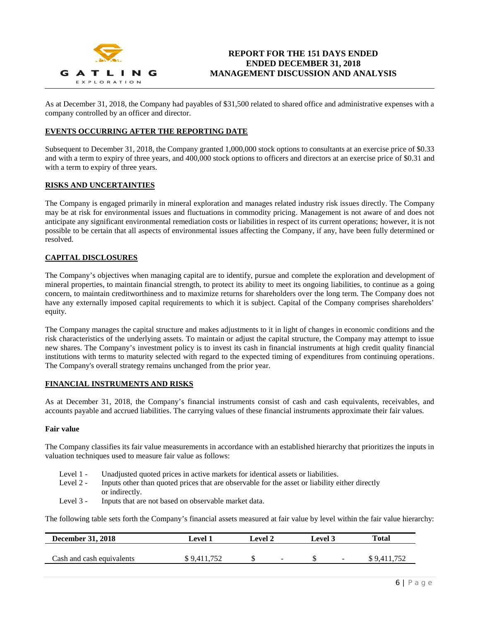

As at December 31, 2018, the Company had payables of \$31,500 related to shared office and administrative expenses with a company controlled by an officer and director.

# **EVENTS OCCURRING AFTER THE REPORTING DATE**

Subsequent to December 31, 2018, the Company granted 1,000,000 stock options to consultants at an exercise price of \$0.33 and with a term to expiry of three years, and 400,000 stock options to officers and directors at an exercise price of \$0.31 and with a term to expiry of three years.

## **RISKS AND UNCERTAINTIES**

The Company is engaged primarily in mineral exploration and manages related industry risk issues directly. The Company may be at risk for environmental issues and fluctuations in commodity pricing. Management is not aware of and does not anticipate any significant environmental remediation costs or liabilities in respect of its current operations; however, it is not possible to be certain that all aspects of environmental issues affecting the Company, if any, have been fully determined or resolved.

#### **CAPITAL DISCLOSURES**

The Company's objectives when managing capital are to identify, pursue and complete the exploration and development of mineral properties, to maintain financial strength, to protect its ability to meet its ongoing liabilities, to continue as a going concern, to maintain creditworthiness and to maximize returns for shareholders over the long term. The Company does not have any externally imposed capital requirements to which it is subject. Capital of the Company comprises shareholders' equity.

The Company manages the capital structure and makes adjustments to it in light of changes in economic conditions and the risk characteristics of the underlying assets. To maintain or adjust the capital structure, the Company may attempt to issue new shares. The Company's investment policy is to invest its cash in financial instruments at high credit quality financial institutions with terms to maturity selected with regard to the expected timing of expenditures from continuing operations. The Company's overall strategy remains unchanged from the prior year.

# **FINANCIAL INSTRUMENTS AND RISKS**

As at December 31, 2018, the Company's financial instruments consist of cash and cash equivalents, receivables, and accounts payable and accrued liabilities. The carrying values of these financial instruments approximate their fair values.

#### **Fair value**

The Company classifies its fair value measurements in accordance with an established hierarchy that prioritizes the inputs in valuation techniques used to measure fair value as follows:

- Level 1 Unadjusted quoted prices in active markets for identical assets or liabilities.
- Level 2 Inputs other than quoted prices that are observable for the asset or liability either directly or indirectly.
- Level 3 Inputs that are not based on observable market data.

The following table sets forth the Company's financial assets measured at fair value by level within the fair value hierarchy:

| December 31, 2018         | Level 1 | evel 2 |                          | Level 3 |        | Total |
|---------------------------|---------|--------|--------------------------|---------|--------|-------|
| Cash and cash equivalents |         |        | $\overline{\phantom{a}}$ |         | $\sim$ |       |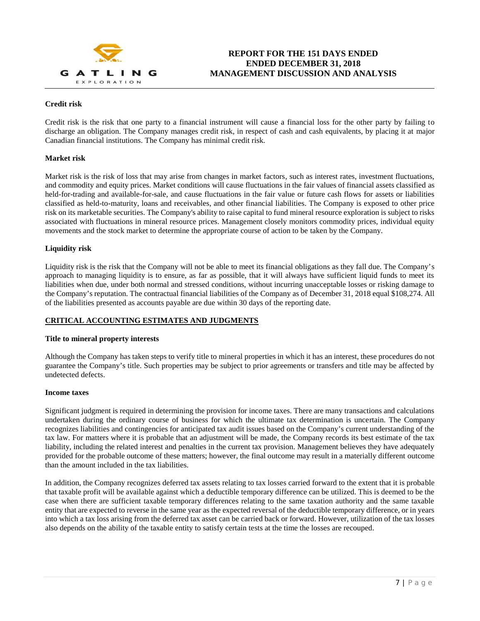

# **REPORT FOR THE 151 DAYS ENDED ENDED DECEMBER 31, 2018 MANAGEMENT DISCUSSION AND ANALYSIS**

# **Credit risk**

Credit risk is the risk that one party to a financial instrument will cause a financial loss for the other party by failing to discharge an obligation. The Company manages credit risk, in respect of cash and cash equivalents, by placing it at major Canadian financial institutions. The Company has minimal credit risk.

#### **Market risk**

Market risk is the risk of loss that may arise from changes in market factors, such as interest rates, investment fluctuations, and commodity and equity prices. Market conditions will cause fluctuations in the fair values of financial assets classified as held-for-trading and available-for-sale, and cause fluctuations in the fair value or future cash flows for assets or liabilities classified as held-to-maturity, loans and receivables, and other financial liabilities. The Company is exposed to other price risk on its marketable securities. The Company's ability to raise capital to fund mineral resource exploration is subject to risks associated with fluctuations in mineral resource prices. Management closely monitors commodity prices, individual equity movements and the stock market to determine the appropriate course of action to be taken by the Company.

#### **Liquidity risk**

Liquidity risk is the risk that the Company will not be able to meet its financial obligations as they fall due. The Company's approach to managing liquidity is to ensure, as far as possible, that it will always have sufficient liquid funds to meet its liabilities when due, under both normal and stressed conditions, without incurring unacceptable losses or risking damage to the Company's reputation. The contractual financial liabilities of the Company as of December 31, 2018 equal \$108,274. All of the liabilities presented as accounts payable are due within 30 days of the reporting date.

#### **CRITICAL ACCOUNTING ESTIMATES AND JUDGMENTS**

#### **Title to mineral property interests**

Although the Company has taken steps to verify title to mineral properties in which it has an interest, these procedures do not guarantee the Company's title. Such properties may be subject to prior agreements or transfers and title may be affected by undetected defects.

#### **Income taxes**

Significant judgment is required in determining the provision for income taxes. There are many transactions and calculations undertaken during the ordinary course of business for which the ultimate tax determination is uncertain. The Company recognizes liabilities and contingencies for anticipated tax audit issues based on the Company's current understanding of the tax law. For matters where it is probable that an adjustment will be made, the Company records its best estimate of the tax liability, including the related interest and penalties in the current tax provision. Management believes they have adequately provided for the probable outcome of these matters; however, the final outcome may result in a materially different outcome than the amount included in the tax liabilities.

In addition, the Company recognizes deferred tax assets relating to tax losses carried forward to the extent that it is probable that taxable profit will be available against which a deductible temporary difference can be utilized. This is deemed to be the case when there are sufficient taxable temporary differences relating to the same taxation authority and the same taxable entity that are expected to reverse in the same year as the expected reversal of the deductible temporary difference, or in years into which a tax loss arising from the deferred tax asset can be carried back or forward. However, utilization of the tax losses also depends on the ability of the taxable entity to satisfy certain tests at the time the losses are recouped.